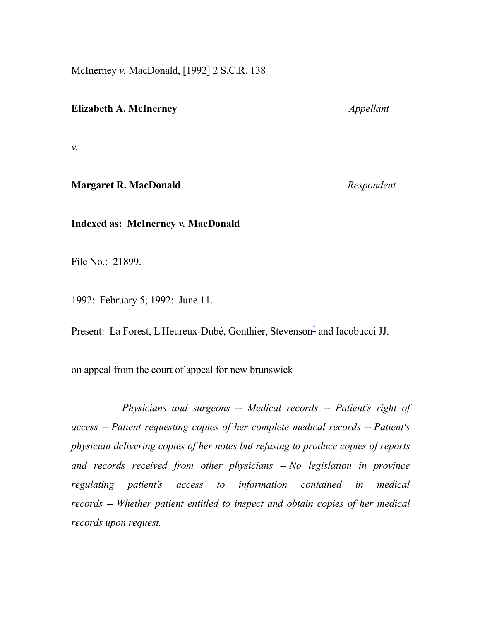McInerney *v.* MacDonald, [1992] 2 S.C.R. 138

## **Elizabeth A. McInerney** *Appellant*

*v.*

#### **Margaret R. MacDonald** *Respondent*

### **Indexed as: McInerney** *v.* **MacDonald**

File No.: 21899.

1992: February 5; 1992: June 11.

Present: La Forest, L'Heureux-Dubé, Gonthier, Stevenson<sup>\*</sup> and Iacobucci JJ.

on appeal from the court of appeal for new brunswick

*Physicians and surgeons -- Medical records -- Patient's right of access -- Patient requesting copies of her complete medical records -- Patient's physician delivering copies of her notes but refusing to produce copies of reports and records received from other physicians -- No legislation in province regulating patient's access to information contained in medical records -- Whether patient entitled to inspect and obtain copies of her medical records upon request.*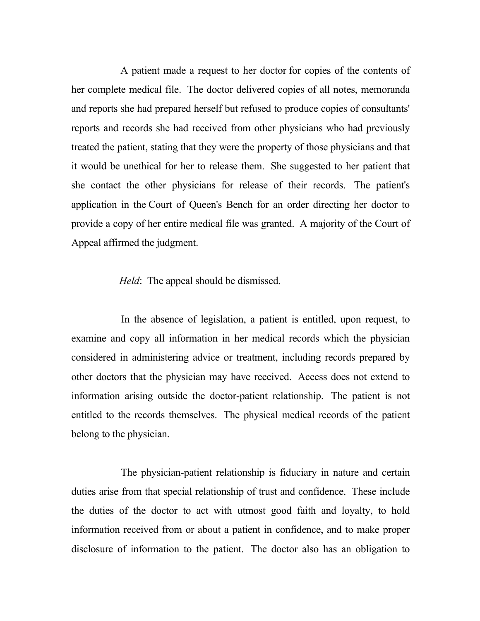A patient made a request to her doctor for copies of the contents of her complete medical file. The doctor delivered copies of all notes, memoranda and reports she had prepared herself but refused to produce copies of consultants' reports and records she had received from other physicians who had previously treated the patient, stating that they were the property of those physicians and that it would be unethical for her to release them. She suggested to her patient that she contact the other physicians for release of their records. The patient's application in the Court of Queen's Bench for an order directing her doctor to provide a copy of her entire medical file was granted. A majority of the Court of Appeal affirmed the judgment.

#### *Held*: The appeal should be dismissed.

In the absence of legislation, a patient is entitled, upon request, to examine and copy all information in her medical records which the physician considered in administering advice or treatment, including records prepared by other doctors that the physician may have received. Access does not extend to information arising outside the doctor-patient relationship. The patient is not entitled to the records themselves. The physical medical records of the patient belong to the physician.

The physician-patient relationship is fiduciary in nature and certain duties arise from that special relationship of trust and confidence. These include the duties of the doctor to act with utmost good faith and loyalty, to hold information received from or about a patient in confidence, and to make proper disclosure of information to the patient. The doctor also has an obligation to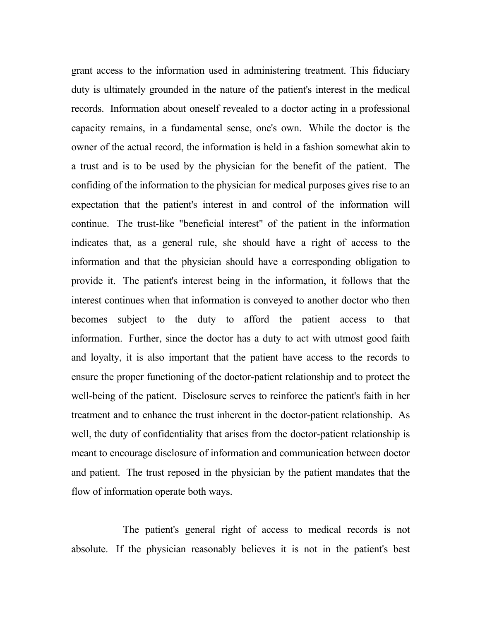grant access to the information used in administering treatment. This fiduciary duty is ultimately grounded in the nature of the patient's interest in the medical records. Information about oneself revealed to a doctor acting in a professional capacity remains, in a fundamental sense, one's own. While the doctor is the owner of the actual record, the information is held in a fashion somewhat akin to a trust and is to be used by the physician for the benefit of the patient. The confiding of the information to the physician for medical purposes gives rise to an expectation that the patient's interest in and control of the information will continue. The trust-like "beneficial interest" of the patient in the information indicates that, as a general rule, she should have a right of access to the information and that the physician should have a corresponding obligation to provide it. The patient's interest being in the information, it follows that the interest continues when that information is conveyed to another doctor who then becomes subject to the duty to afford the patient access to that information. Further, since the doctor has a duty to act with utmost good faith and loyalty, it is also important that the patient have access to the records to ensure the proper functioning of the doctor-patient relationship and to protect the well-being of the patient. Disclosure serves to reinforce the patient's faith in her treatment and to enhance the trust inherent in the doctor-patient relationship. As well, the duty of confidentiality that arises from the doctor-patient relationship is meant to encourage disclosure of information and communication between doctor and patient. The trust reposed in the physician by the patient mandates that the flow of information operate both ways.

The patient's general right of access to medical records is not absolute. If the physician reasonably believes it is not in the patient's best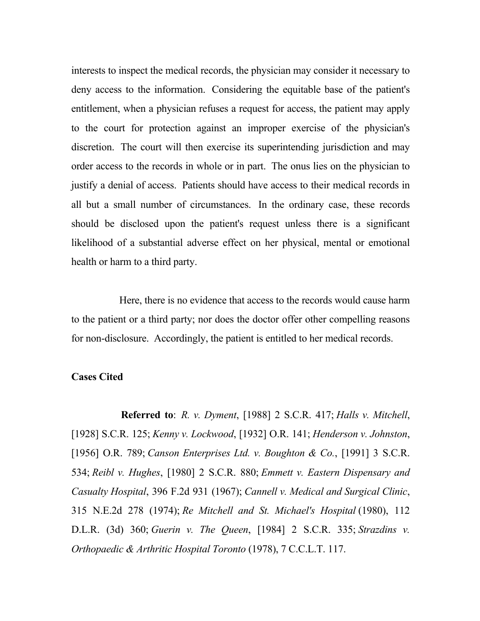interests to inspect the medical records, the physician may consider it necessary to deny access to the information. Considering the equitable base of the patient's entitlement, when a physician refuses a request for access, the patient may apply to the court for protection against an improper exercise of the physician's discretion. The court will then exercise its superintending jurisdiction and may order access to the records in whole or in part. The onus lies on the physician to justify a denial of access. Patients should have access to their medical records in all but a small number of circumstances. In the ordinary case, these records should be disclosed upon the patient's request unless there is a significant likelihood of a substantial adverse effect on her physical, mental or emotional health or harm to a third party.

Here, there is no evidence that access to the records would cause harm to the patient or a third party; nor does the doctor offer other compelling reasons for non-disclosure. Accordingly, the patient is entitled to her medical records.

## **Cases Cited**

**Referred to**: *R. v. Dyment*, [1988] 2 S.C.R. 417; *Halls v. Mitchell*, [1928] S.C.R. 125; *Kenny v. Lockwood*, [1932] O.R. 141; *Henderson v. Johnston*, [1956] O.R. 789; *Canson Enterprises Ltd. v. Boughton & Co.*, [1991] 3 S.C.R. 534; *Reibl v. Hughes*, [1980] 2 S.C.R. 880; *Emmett v. Eastern Dispensary and Casualty Hospital*, 396 F.2d 931 (1967); *Cannell v. Medical and Surgical Clinic*, 315 N.E.2d 278 (1974); *Re Mitchell and St. Michael's Hospital* (1980), 112 D.L.R. (3d) 360; *Guerin v. The Queen*, [1984] 2 S.C.R. 335; *Strazdins v. Orthopaedic & Arthritic Hospital Toronto* (1978), 7 C.C.L.T. 117.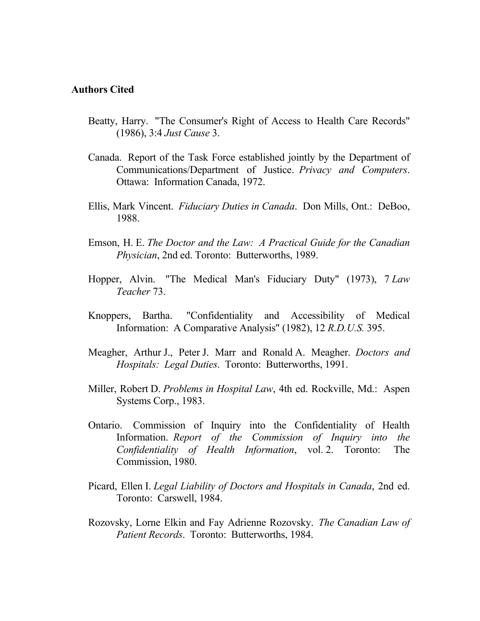#### **Authors Cited**

- Beatty, Harry. "The Consumer's Right of Access to Health Care Records" (1986), 3:4 *Just Cause* 3.
- Canada. Report of the Task Force established jointly by the Department of Communications/Department of Justice. *Privacy and Computers*. Ottawa: Information Canada, 1972.
- Ellis, Mark Vincent. *Fiduciary Duties in Canada*. Don Mills, Ont.: DeBoo, 1988.
- Emson, H. E. *The Doctor and the Law: A Practical Guide for the Canadian Physician*, 2nd ed. Toronto: Butterworths, 1989.
- Hopper, Alvin. "The Medical Man's Fiduciary Duty" (1973), 7 *Law Teacher* 73.
- Knoppers, Bartha. "Confidentiality and Accessibility of Medical Information: A Comparative Analysis" (1982), 12 *R.D.U.S.* 395.
- Meagher, Arthur J., Peter J. Marr and Ronald A. Meagher. *Doctors and Hospitals: Legal Duties*. Toronto: Butterworths, 1991.
- Miller, Robert D. *Problems in Hospital Law*, 4th ed. Rockville, Md.: Aspen Systems Corp., 1983.
- Ontario. Commission of Inquiry into the Confidentiality of Health Information. *Report of the Commission of Inquiry into the Confidentiality of Health Information*, vol. 2. Toronto: The Commission, 1980.
- Picard, Ellen I. *Legal Liability of Doctors and Hospitals in Canada*, 2nd ed. Toronto: Carswell, 1984.
- Rozovsky, Lorne Elkin and Fay Adrienne Rozovsky. *The Canadian Law of Patient Records*. Toronto: Butterworths, 1984.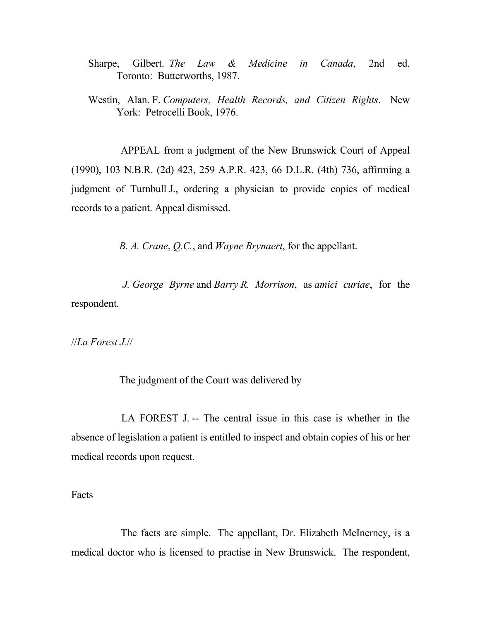- Sharpe, Gilbert. *The Law & Medicine in Canada*, 2nd ed. Toronto: Butterworths, 1987.
- Westin, Alan. F. *Computers, Health Records, and Citizen Rights*. New York: Petrocelli Book, 1976.

APPEAL from a judgment of the New Brunswick Court of Appeal (1990), 103 N.B.R. (2d) 423, 259 A.P.R. 423, 66 D.L.R. (4th) 736, affirming a judgment of Turnbull J., ordering a physician to provide copies of medical records to a patient. Appeal dismissed.

*B. A. Crane*, *Q.C.*, and *Wayne Brynaert*, for the appellant.

*J. George Byrne* and *Barry R. Morrison*, as *amici curiae*, for the respondent.

//*La Forest J.*//

The judgment of the Court was delivered by

LA FOREST J. -- The central issue in this case is whether in the absence of legislation a patient is entitled to inspect and obtain copies of his or her medical records upon request.

#### Facts

The facts are simple. The appellant, Dr. Elizabeth McInerney, is a medical doctor who is licensed to practise in New Brunswick. The respondent,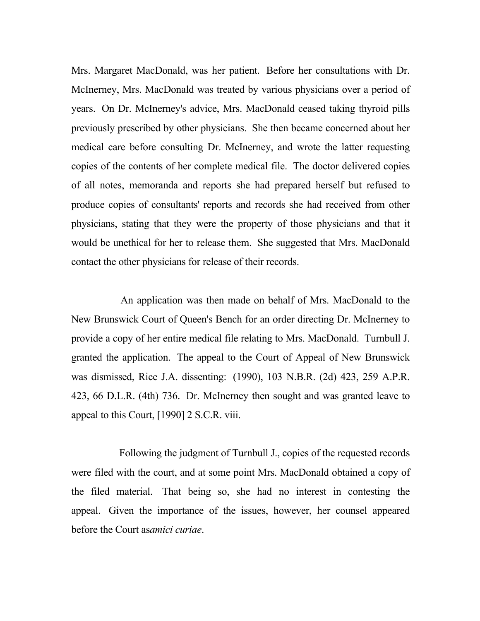Mrs. Margaret MacDonald, was her patient. Before her consultations with Dr. McInerney, Mrs. MacDonald was treated by various physicians over a period of years. On Dr. McInerney's advice, Mrs. MacDonald ceased taking thyroid pills previously prescribed by other physicians. She then became concerned about her medical care before consulting Dr. McInerney, and wrote the latter requesting copies of the contents of her complete medical file. The doctor delivered copies of all notes, memoranda and reports she had prepared herself but refused to produce copies of consultants' reports and records she had received from other physicians, stating that they were the property of those physicians and that it would be unethical for her to release them. She suggested that Mrs. MacDonald contact the other physicians for release of their records.

An application was then made on behalf of Mrs. MacDonald to the New Brunswick Court of Queen's Bench for an order directing Dr. McInerney to provide a copy of her entire medical file relating to Mrs. MacDonald. Turnbull J. granted the application. The appeal to the Court of Appeal of New Brunswick was dismissed, Rice J.A. dissenting: (1990), 103 N.B.R. (2d) 423, 259 A.P.R. 423, 66 D.L.R. (4th) 736. Dr. McInerney then sought and was granted leave to appeal to this Court, [1990] 2 S.C.R. viii.

Following the judgment of Turnbull J., copies of the requested records were filed with the court, and at some point Mrs. MacDonald obtained a copy of the filed material. That being so, she had no interest in contesting the appeal. Given the importance of the issues, however, her counsel appeared before the Court as*amici curiae*.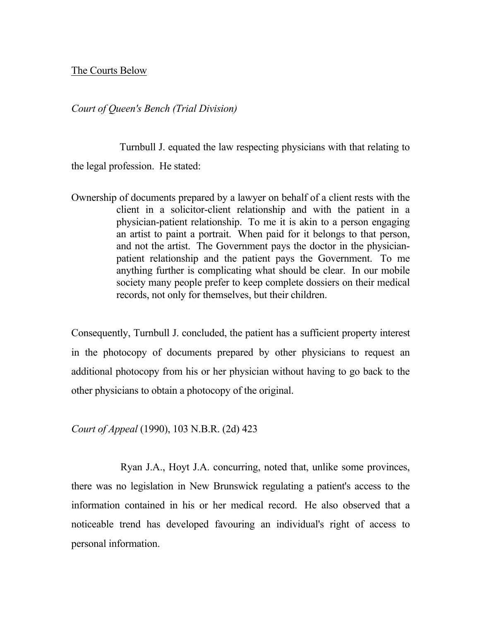## The Courts Below

#### *Court of Queen's Bench (Trial Division)*

Turnbull J. equated the law respecting physicians with that relating to the legal profession. He stated:

Ownership of documents prepared by a lawyer on behalf of a client rests with the client in a solicitor-client relationship and with the patient in a physician-patient relationship. To me it is akin to a person engaging an artist to paint a portrait. When paid for it belongs to that person, and not the artist. The Government pays the doctor in the physicianpatient relationship and the patient pays the Government. To me anything further is complicating what should be clear. In our mobile society many people prefer to keep complete dossiers on their medical records, not only for themselves, but their children.

Consequently, Turnbull J. concluded, the patient has a sufficient property interest in the photocopy of documents prepared by other physicians to request an additional photocopy from his or her physician without having to go back to the other physicians to obtain a photocopy of the original.

*Court of Appeal* (1990), 103 N.B.R. (2d) 423

Ryan J.A., Hoyt J.A. concurring, noted that, unlike some provinces, there was no legislation in New Brunswick regulating a patient's access to the information contained in his or her medical record. He also observed that a noticeable trend has developed favouring an individual's right of access to personal information.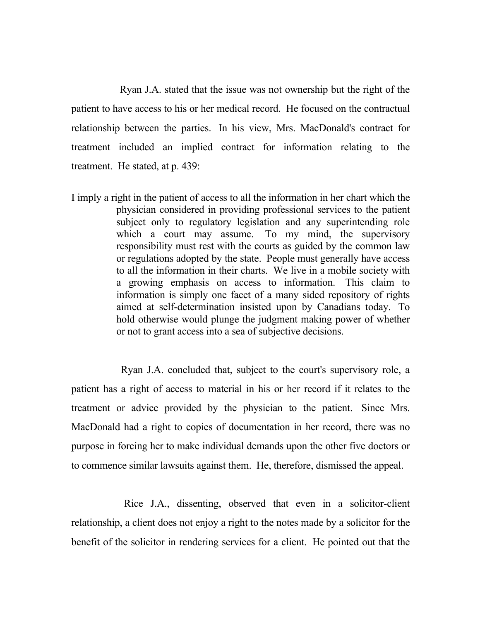Ryan J.A. stated that the issue was not ownership but the right of the patient to have access to his or her medical record. He focused on the contractual relationship between the parties. In his view, Mrs. MacDonald's contract for treatment included an implied contract for information relating to the treatment. He stated, at p. 439:

I imply a right in the patient of access to all the information in her chart which the physician considered in providing professional services to the patient subject only to regulatory legislation and any superintending role which a court may assume. To my mind, the supervisory responsibility must rest with the courts as guided by the common law or regulations adopted by the state. People must generally have access to all the information in their charts. We live in a mobile society with a growing emphasis on access to information. This claim to information is simply one facet of a many sided repository of rights aimed at self-determination insisted upon by Canadians today. To hold otherwise would plunge the judgment making power of whether or not to grant access into a sea of subjective decisions.

Ryan J.A. concluded that, subject to the court's supervisory role, a patient has a right of access to material in his or her record if it relates to the treatment or advice provided by the physician to the patient. Since Mrs. MacDonald had a right to copies of documentation in her record, there was no purpose in forcing her to make individual demands upon the other five doctors or to commence similar lawsuits against them. He, therefore, dismissed the appeal.

Rice J.A., dissenting, observed that even in a solicitor-client relationship, a client does not enjoy a right to the notes made by a solicitor for the benefit of the solicitor in rendering services for a client. He pointed out that the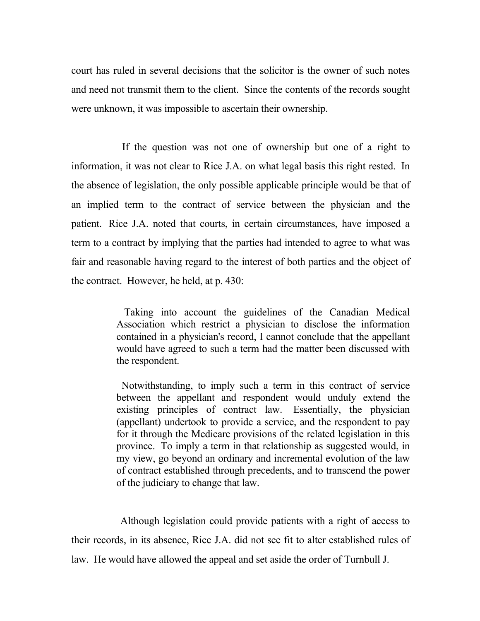court has ruled in several decisions that the solicitor is the owner of such notes and need not transmit them to the client. Since the contents of the records sought were unknown, it was impossible to ascertain their ownership.

If the question was not one of ownership but one of a right to information, it was not clear to Rice J.A. on what legal basis this right rested. In the absence of legislation, the only possible applicable principle would be that of an implied term to the contract of service between the physician and the patient. Rice J.A. noted that courts, in certain circumstances, have imposed a term to a contract by implying that the parties had intended to agree to what was fair and reasonable having regard to the interest of both parties and the object of the contract. However, he held, at p. 430:

> Taking into account the guidelines of the Canadian Medical Association which restrict a physician to disclose the information contained in a physician's record, I cannot conclude that the appellant would have agreed to such a term had the matter been discussed with the respondent.

> Notwithstanding, to imply such a term in this contract of service between the appellant and respondent would unduly extend the existing principles of contract law. Essentially, the physician (appellant) undertook to provide a service, and the respondent to pay for it through the Medicare provisions of the related legislation in this province. To imply a term in that relationship as suggested would, in my view, go beyond an ordinary and incremental evolution of the law of contract established through precedents, and to transcend the power of the judiciary to change that law.

Although legislation could provide patients with a right of access to their records, in its absence, Rice J.A. did not see fit to alter established rules of law. He would have allowed the appeal and set aside the order of Turnbull J.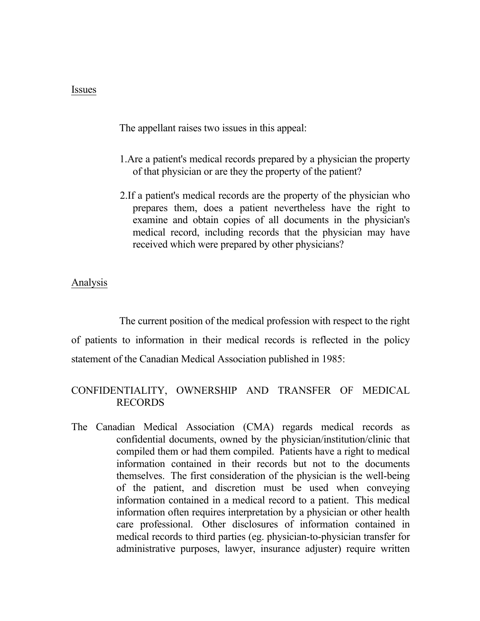#### Issues

The appellant raises two issues in this appeal:

- 1.Are a patient's medical records prepared by a physician the property of that physician or are they the property of the patient?
- 2.If a patient's medical records are the property of the physician who prepares them, does a patient nevertheless have the right to examine and obtain copies of all documents in the physician's medical record, including records that the physician may have received which were prepared by other physicians?

## Analysis

The current position of the medical profession with respect to the right of patients to information in their medical records is reflected in the policy statement of the Canadian Medical Association published in 1985:

# CONFIDENTIALITY, OWNERSHIP AND TRANSFER OF MEDICAL RECORDS

The Canadian Medical Association (CMA) regards medical records as confidential documents, owned by the physician/institution/clinic that compiled them or had them compiled. Patients have a right to medical information contained in their records but not to the documents themselves. The first consideration of the physician is the well-being of the patient, and discretion must be used when conveying information contained in a medical record to a patient. This medical information often requires interpretation by a physician or other health care professional. Other disclosures of information contained in medical records to third parties (eg. physician-to-physician transfer for administrative purposes, lawyer, insurance adjuster) require written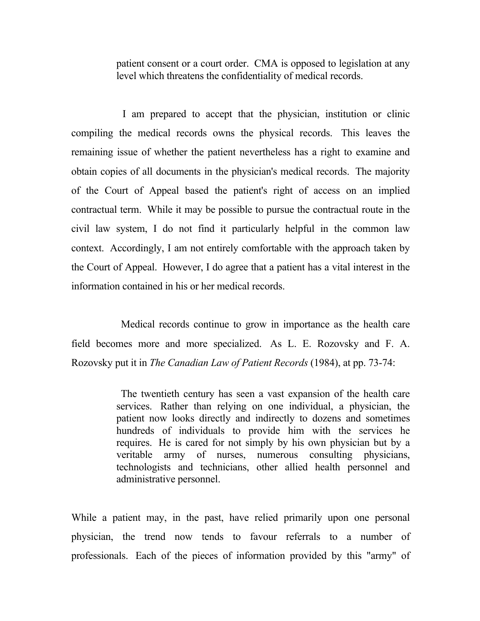patient consent or a court order. CMA is opposed to legislation at any level which threatens the confidentiality of medical records.

I am prepared to accept that the physician, institution or clinic compiling the medical records owns the physical records. This leaves the remaining issue of whether the patient nevertheless has a right to examine and obtain copies of all documents in the physician's medical records. The majority of the Court of Appeal based the patient's right of access on an implied contractual term. While it may be possible to pursue the contractual route in the civil law system, I do not find it particularly helpful in the common law context. Accordingly, I am not entirely comfortable with the approach taken by the Court of Appeal. However, I do agree that a patient has a vital interest in the information contained in his or her medical records.

Medical records continue to grow in importance as the health care field becomes more and more specialized. As L. E. Rozovsky and F. A. Rozovsky put it in *The Canadian Law of Patient Records* (1984), at pp. 73-74:

> The twentieth century has seen a vast expansion of the health care services. Rather than relying on one individual, a physician, the patient now looks directly and indirectly to dozens and sometimes hundreds of individuals to provide him with the services he requires. He is cared for not simply by his own physician but by a veritable army of nurses, numerous consulting physicians, technologists and technicians, other allied health personnel and administrative personnel.

While a patient may, in the past, have relied primarily upon one personal physician, the trend now tends to favour referrals to a number of professionals. Each of the pieces of information provided by this "army" of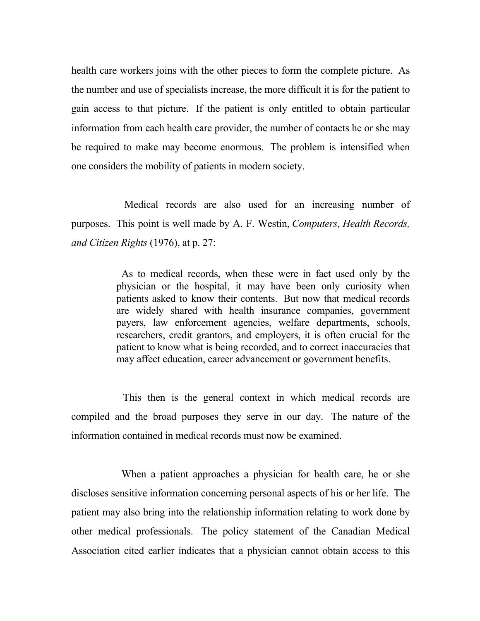health care workers joins with the other pieces to form the complete picture. As the number and use of specialists increase, the more difficult it is for the patient to gain access to that picture. If the patient is only entitled to obtain particular information from each health care provider, the number of contacts he or she may be required to make may become enormous. The problem is intensified when one considers the mobility of patients in modern society.

Medical records are also used for an increasing number of purposes. This point is well made by A. F. Westin, *Computers, Health Records, and Citizen Rights* (1976), at p. 27:

> As to medical records, when these were in fact used only by the physician or the hospital, it may have been only curiosity when patients asked to know their contents. But now that medical records are widely shared with health insurance companies, government payers, law enforcement agencies, welfare departments, schools, researchers, credit grantors, and employers, it is often crucial for the patient to know what is being recorded, and to correct inaccuracies that may affect education, career advancement or government benefits.

This then is the general context in which medical records are compiled and the broad purposes they serve in our day. The nature of the information contained in medical records must now be examined.

When a patient approaches a physician for health care, he or she discloses sensitive information concerning personal aspects of his or her life. The patient may also bring into the relationship information relating to work done by other medical professionals. The policy statement of the Canadian Medical Association cited earlier indicates that a physician cannot obtain access to this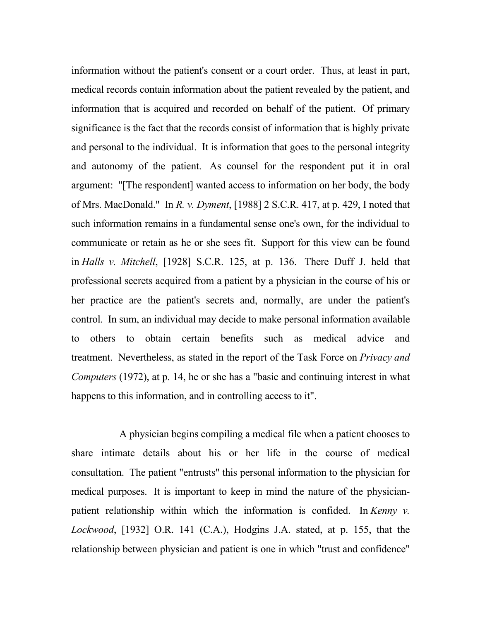information without the patient's consent or a court order. Thus, at least in part, medical records contain information about the patient revealed by the patient, and information that is acquired and recorded on behalf of the patient. Of primary significance is the fact that the records consist of information that is highly private and personal to the individual. It is information that goes to the personal integrity and autonomy of the patient. As counsel for the respondent put it in oral argument: "[The respondent] wanted access to information on her body, the body of Mrs. MacDonald." In *R. v. Dyment*, [1988] 2 S.C.R. 417, at p. 429, I noted that such information remains in a fundamental sense one's own, for the individual to communicate or retain as he or she sees fit. Support for this view can be found in *Halls v. Mitchell*, [1928] S.C.R. 125, at p. 136. There Duff J. held that professional secrets acquired from a patient by a physician in the course of his or her practice are the patient's secrets and, normally, are under the patient's control. In sum, an individual may decide to make personal information available to others to obtain certain benefits such as medical advice and treatment. Nevertheless, as stated in the report of the Task Force on *Privacy and Computers* (1972), at p. 14, he or she has a "basic and continuing interest in what happens to this information, and in controlling access to it".

A physician begins compiling a medical file when a patient chooses to share intimate details about his or her life in the course of medical consultation. The patient "entrusts" this personal information to the physician for medical purposes. It is important to keep in mind the nature of the physicianpatient relationship within which the information is confided. In *Kenny v. Lockwood*, [1932] O.R. 141 (C.A.), Hodgins J.A. stated, at p. 155, that the relationship between physician and patient is one in which "trust and confidence"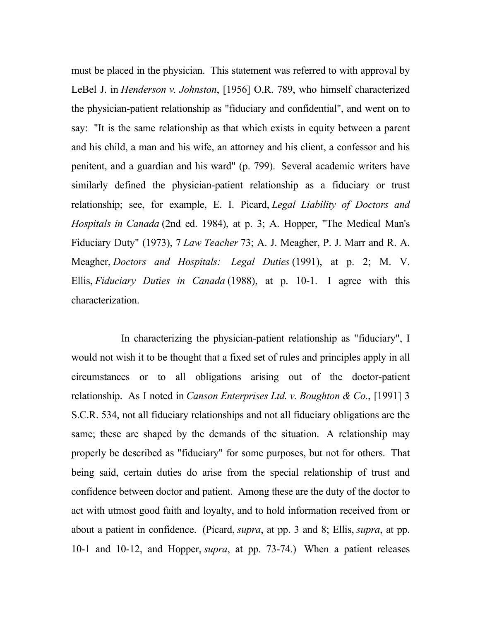must be placed in the physician. This statement was referred to with approval by LeBel J. in *Henderson v. Johnston*, [1956] O.R. 789, who himself characterized the physician-patient relationship as "fiduciary and confidential", and went on to say: "It is the same relationship as that which exists in equity between a parent and his child, a man and his wife, an attorney and his client, a confessor and his penitent, and a guardian and his ward" (p. 799). Several academic writers have similarly defined the physician-patient relationship as a fiduciary or trust relationship; see, for example, E. I. Picard, *Legal Liability of Doctors and Hospitals in Canada* (2nd ed. 1984), at p. 3; A. Hopper, "The Medical Man's Fiduciary Duty" (1973), 7 *Law Teacher* 73; A. J. Meagher, P. J. Marr and R. A. Meagher, *Doctors and Hospitals: Legal Duties* (1991), at p. 2; M. V. Ellis, *Fiduciary Duties in Canada* (1988), at p. 10-1. I agree with this characterization.

In characterizing the physician-patient relationship as "fiduciary", I would not wish it to be thought that a fixed set of rules and principles apply in all circumstances or to all obligations arising out of the doctor-patient relationship. As I noted in *Canson Enterprises Ltd. v. Boughton & Co.*, [1991] 3 S.C.R. 534, not all fiduciary relationships and not all fiduciary obligations are the same; these are shaped by the demands of the situation. A relationship may properly be described as "fiduciary" for some purposes, but not for others. That being said, certain duties do arise from the special relationship of trust and confidence between doctor and patient. Among these are the duty of the doctor to act with utmost good faith and loyalty, and to hold information received from or about a patient in confidence. (Picard, *supra*, at pp. 3 and 8; Ellis, *supra*, at pp. 10-1 and 10-12, and Hopper, *supra*, at pp. 73-74.) When a patient releases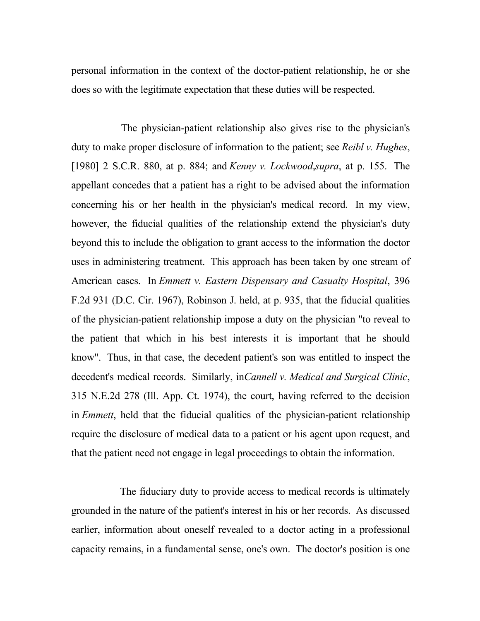personal information in the context of the doctor-patient relationship, he or she does so with the legitimate expectation that these duties will be respected.

The physician-patient relationship also gives rise to the physician's duty to make proper disclosure of information to the patient; see *Reibl v. Hughes*, [1980] 2 S.C.R. 880, at p. 884; and *Kenny v. Lockwood*,*supra*, at p. 155. The appellant concedes that a patient has a right to be advised about the information concerning his or her health in the physician's medical record. In my view, however, the fiducial qualities of the relationship extend the physician's duty beyond this to include the obligation to grant access to the information the doctor uses in administering treatment. This approach has been taken by one stream of American cases. In *Emmett v. Eastern Dispensary and Casualty Hospital*, 396 F.2d 931 (D.C. Cir. 1967), Robinson J. held, at p. 935, that the fiducial qualities of the physician-patient relationship impose a duty on the physician "to reveal to the patient that which in his best interests it is important that he should know". Thus, in that case, the decedent patient's son was entitled to inspect the decedent's medical records. Similarly, in*Cannell v. Medical and Surgical Clinic*, 315 N.E.2d 278 (Ill. App. Ct. 1974), the court, having referred to the decision in *Emmett*, held that the fiducial qualities of the physician-patient relationship require the disclosure of medical data to a patient or his agent upon request, and that the patient need not engage in legal proceedings to obtain the information.

The fiduciary duty to provide access to medical records is ultimately grounded in the nature of the patient's interest in his or her records. As discussed earlier, information about oneself revealed to a doctor acting in a professional capacity remains, in a fundamental sense, one's own. The doctor's position is one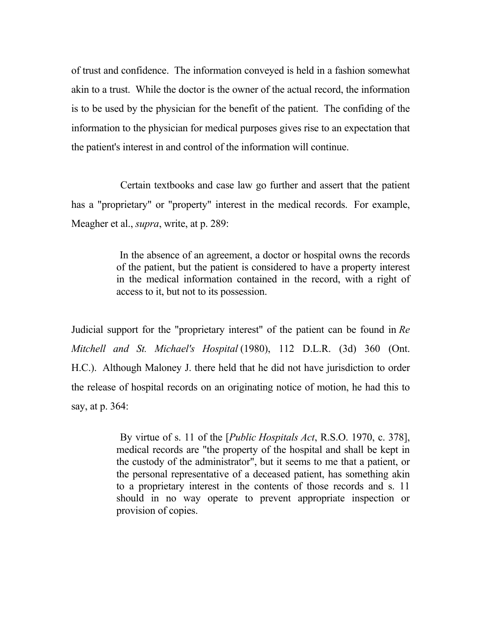of trust and confidence. The information conveyed is held in a fashion somewhat akin to a trust. While the doctor is the owner of the actual record, the information is to be used by the physician for the benefit of the patient. The confiding of the information to the physician for medical purposes gives rise to an expectation that the patient's interest in and control of the information will continue.

Certain textbooks and case law go further and assert that the patient has a "proprietary" or "property" interest in the medical records. For example, Meagher et al., *supra*, write, at p. 289:

> In the absence of an agreement, a doctor or hospital owns the records of the patient, but the patient is considered to have a property interest in the medical information contained in the record, with a right of access to it, but not to its possession.

Judicial support for the "proprietary interest" of the patient can be found in *Re Mitchell and St. Michael's Hospital* (1980), 112 D.L.R. (3d) 360 (Ont. H.C.). Although Maloney J. there held that he did not have jurisdiction to order the release of hospital records on an originating notice of motion, he had this to say, at p. 364:

> By virtue of s. 11 of the [*Public Hospitals Act*, R.S.O. 1970, c. 378], medical records are "the property of the hospital and shall be kept in the custody of the administrator", but it seems to me that a patient, or the personal representative of a deceased patient, has something akin to a proprietary interest in the contents of those records and s. 11 should in no way operate to prevent appropriate inspection or provision of copies.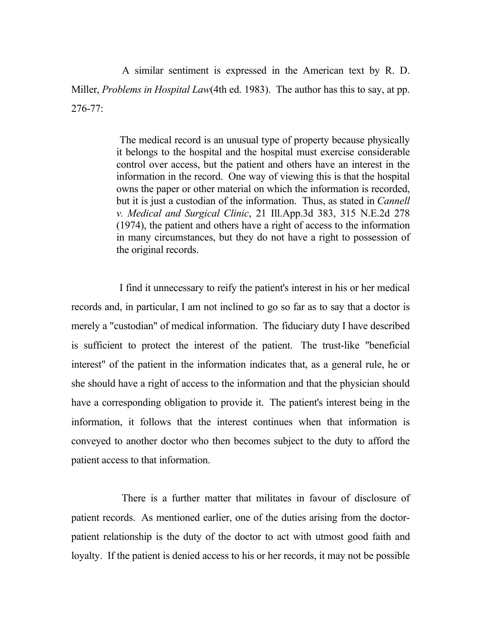A similar sentiment is expressed in the American text by R. D. Miller, *Problems in Hospital Law*(4th ed. 1983). The author has this to say, at pp. 276-77:

> The medical record is an unusual type of property because physically it belongs to the hospital and the hospital must exercise considerable control over access, but the patient and others have an interest in the information in the record. One way of viewing this is that the hospital owns the paper or other material on which the information is recorded, but it is just a custodian of the information. Thus, as stated in *Cannell v. Medical and Surgical Clinic*, 21 Ill.App.3d 383, 315 N.E.2d 278 (1974), the patient and others have a right of access to the information in many circumstances, but they do not have a right to possession of the original records.

I find it unnecessary to reify the patient's interest in his or her medical records and, in particular, I am not inclined to go so far as to say that a doctor is merely a "custodian" of medical information. The fiduciary duty I have described is sufficient to protect the interest of the patient. The trust-like "beneficial interest" of the patient in the information indicates that, as a general rule, he or she should have a right of access to the information and that the physician should have a corresponding obligation to provide it. The patient's interest being in the information, it follows that the interest continues when that information is conveyed to another doctor who then becomes subject to the duty to afford the patient access to that information.

There is a further matter that militates in favour of disclosure of patient records. As mentioned earlier, one of the duties arising from the doctorpatient relationship is the duty of the doctor to act with utmost good faith and loyalty. If the patient is denied access to his or her records, it may not be possible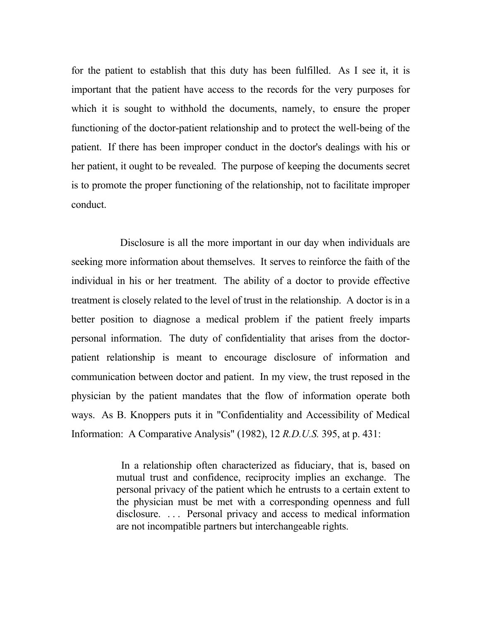for the patient to establish that this duty has been fulfilled. As I see it, it is important that the patient have access to the records for the very purposes for which it is sought to withhold the documents, namely, to ensure the proper functioning of the doctor-patient relationship and to protect the well-being of the patient. If there has been improper conduct in the doctor's dealings with his or her patient, it ought to be revealed. The purpose of keeping the documents secret is to promote the proper functioning of the relationship, not to facilitate improper conduct.

Disclosure is all the more important in our day when individuals are seeking more information about themselves. It serves to reinforce the faith of the individual in his or her treatment. The ability of a doctor to provide effective treatment is closely related to the level of trust in the relationship. A doctor is in a better position to diagnose a medical problem if the patient freely imparts personal information. The duty of confidentiality that arises from the doctorpatient relationship is meant to encourage disclosure of information and communication between doctor and patient. In my view, the trust reposed in the physician by the patient mandates that the flow of information operate both ways. As B. Knoppers puts it in "Confidentiality and Accessibility of Medical Information: A Comparative Analysis" (1982), 12 *R.D.U.S.* 395, at p. 431:

> In a relationship often characterized as fiduciary, that is, based on mutual trust and confidence, reciprocity implies an exchange. The personal privacy of the patient which he entrusts to a certain extent to the physician must be met with a corresponding openness and full disclosure. ... Personal privacy and access to medical information are not incompatible partners but interchangeable rights.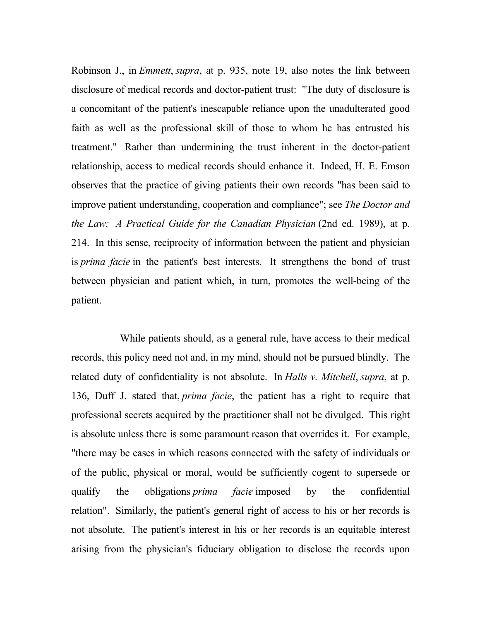Robinson J., in *Emmett*, *supra*, at p. 935, note 19, also notes the link between disclosure of medical records and doctor-patient trust: "The duty of disclosure is a concomitant of the patient's inescapable reliance upon the unadulterated good faith as well as the professional skill of those to whom he has entrusted his treatment." Rather than undermining the trust inherent in the doctor-patient relationship, access to medical records should enhance it. Indeed, H. E. Emson observes that the practice of giving patients their own records "has been said to improve patient understanding, cooperation and compliance"; see *The Doctor and the Law: A Practical Guide for the Canadian Physician* (2nd ed. 1989), at p. 214. In this sense, reciprocity of information between the patient and physician is *prima facie* in the patient's best interests. It strengthens the bond of trust between physician and patient which, in turn, promotes the well-being of the patient.

While patients should, as a general rule, have access to their medical records, this policy need not and, in my mind, should not be pursued blindly. The related duty of confidentiality is not absolute. In *Halls v. Mitchell*, *supra*, at p. 136, Duff J. stated that, *prima facie*, the patient has a right to require that professional secrets acquired by the practitioner shall not be divulged. This right is absolute unless there is some paramount reason that overrides it. For example, "there may be cases in which reasons connected with the safety of individuals or of the public, physical or moral, would be sufficiently cogent to supersede or qualify the obligations *prima facie* imposed by the confidential relation". Similarly, the patient's general right of access to his or her records is not absolute. The patient's interest in his or her records is an equitable interest arising from the physician's fiduciary obligation to disclose the records upon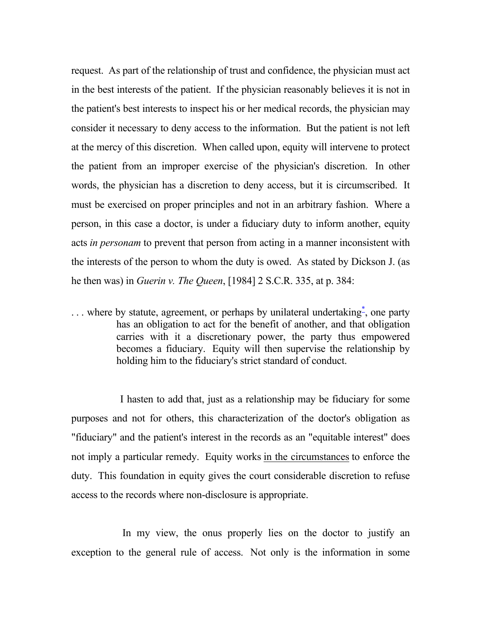request. As part of the relationship of trust and confidence, the physician must act in the best interests of the patient. If the physician reasonably believes it is not in the patient's best interests to inspect his or her medical records, the physician may consider it necessary to deny access to the information. But the patient is not left at the mercy of this discretion. When called upon, equity will intervene to protect the patient from an improper exercise of the physician's discretion. In other words, the physician has a discretion to deny access, but it is circumscribed. It must be exercised on proper principles and not in an arbitrary fashion. Where a person, in this case a doctor, is under a fiduciary duty to inform another, equity acts *in personam* to prevent that person from acting in a manner inconsistent with the interests of the person to whom the duty is owed. As stated by Dickson J. (as he then was) in *Guerin v. The Queen*, [1984] 2 S.C.R. 335, at p. 384:

... where by statute, agreement, or perhaps by unilateral undertaking<sup>\*</sup>, one party has an obligation to act for the benefit of another, and that obligation carries with it a discretionary power, the party thus empowered becomes a fiduciary. Equity will then supervise the relationship by holding him to the fiduciary's strict standard of conduct.

I hasten to add that, just as a relationship may be fiduciary for some purposes and not for others, this characterization of the doctor's obligation as "fiduciary" and the patient's interest in the records as an "equitable interest" does not imply a particular remedy. Equity works in the circumstances to enforce the duty. This foundation in equity gives the court considerable discretion to refuse access to the records where non-disclosure is appropriate.

In my view, the onus properly lies on the doctor to justify an exception to the general rule of access. Not only is the information in some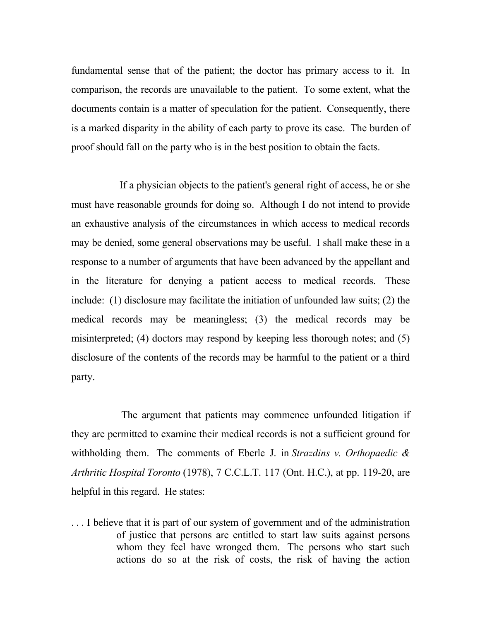fundamental sense that of the patient; the doctor has primary access to it. In comparison, the records are unavailable to the patient. To some extent, what the documents contain is a matter of speculation for the patient. Consequently, there is a marked disparity in the ability of each party to prove its case. The burden of proof should fall on the party who is in the best position to obtain the facts.

If a physician objects to the patient's general right of access, he or she must have reasonable grounds for doing so. Although I do not intend to provide an exhaustive analysis of the circumstances in which access to medical records may be denied, some general observations may be useful. I shall make these in a response to a number of arguments that have been advanced by the appellant and in the literature for denying a patient access to medical records. These include: (1) disclosure may facilitate the initiation of unfounded law suits; (2) the medical records may be meaningless; (3) the medical records may be misinterpreted; (4) doctors may respond by keeping less thorough notes; and (5) disclosure of the contents of the records may be harmful to the patient or a third party.

The argument that patients may commence unfounded litigation if they are permitted to examine their medical records is not a sufficient ground for withholding them. The comments of Eberle J. in *Strazdins v. Orthopaedic & Arthritic Hospital Toronto* (1978), 7 C.C.L.T. 117 (Ont. H.C.), at pp. 119-20, are helpful in this regard. He states:

. . . I believe that it is part of our system of government and of the administration of justice that persons are entitled to start law suits against persons whom they feel have wronged them. The persons who start such actions do so at the risk of costs, the risk of having the action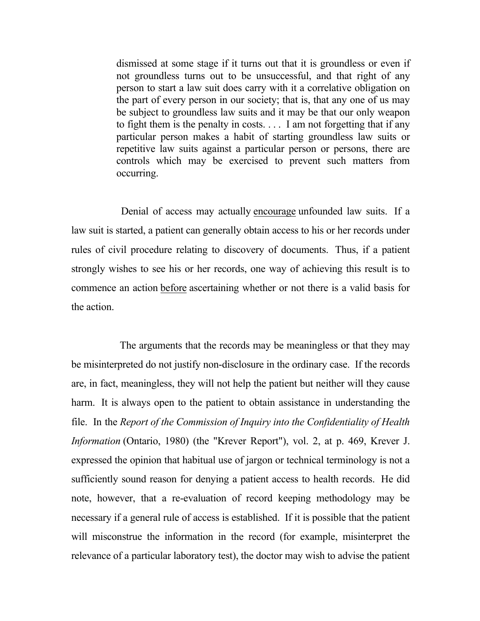dismissed at some stage if it turns out that it is groundless or even if not groundless turns out to be unsuccessful, and that right of any person to start a law suit does carry with it a correlative obligation on the part of every person in our society; that is, that any one of us may be subject to groundless law suits and it may be that our only weapon to fight them is the penalty in costs. . . . I am not forgetting that if any particular person makes a habit of starting groundless law suits or repetitive law suits against a particular person or persons, there are controls which may be exercised to prevent such matters from occurring.

Denial of access may actually encourage unfounded law suits. If a law suit is started, a patient can generally obtain access to his or her records under rules of civil procedure relating to discovery of documents. Thus, if a patient strongly wishes to see his or her records, one way of achieving this result is to commence an action before ascertaining whether or not there is a valid basis for the action.

The arguments that the records may be meaningless or that they may be misinterpreted do not justify non-disclosure in the ordinary case. If the records are, in fact, meaningless, they will not help the patient but neither will they cause harm. It is always open to the patient to obtain assistance in understanding the file. In the *Report of the Commission of Inquiry into the Confidentiality of Health Information* (Ontario, 1980) (the "Krever Report"), vol. 2, at p. 469, Krever J. expressed the opinion that habitual use of jargon or technical terminology is not a sufficiently sound reason for denying a patient access to health records. He did note, however, that a re-evaluation of record keeping methodology may be necessary if a general rule of access is established. If it is possible that the patient will misconstrue the information in the record (for example, misinterpret the relevance of a particular laboratory test), the doctor may wish to advise the patient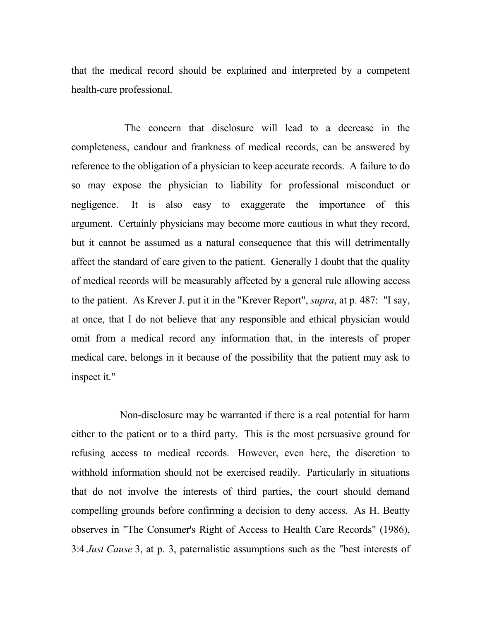that the medical record should be explained and interpreted by a competent health-care professional.

The concern that disclosure will lead to a decrease in the completeness, candour and frankness of medical records, can be answered by reference to the obligation of a physician to keep accurate records. A failure to do so may expose the physician to liability for professional misconduct or negligence. It is also easy to exaggerate the importance of this argument. Certainly physicians may become more cautious in what they record, but it cannot be assumed as a natural consequence that this will detrimentally affect the standard of care given to the patient. Generally I doubt that the quality of medical records will be measurably affected by a general rule allowing access to the patient. As Krever J. put it in the "Krever Report", *supra*, at p. 487: "I say, at once, that I do not believe that any responsible and ethical physician would omit from a medical record any information that, in the interests of proper medical care, belongs in it because of the possibility that the patient may ask to inspect it."

Non-disclosure may be warranted if there is a real potential for harm either to the patient or to a third party. This is the most persuasive ground for refusing access to medical records. However, even here, the discretion to withhold information should not be exercised readily. Particularly in situations that do not involve the interests of third parties, the court should demand compelling grounds before confirming a decision to deny access. As H. Beatty observes in "The Consumer's Right of Access to Health Care Records" (1986), 3:4 *Just Cause* 3, at p. 3, paternalistic assumptions such as the "best interests of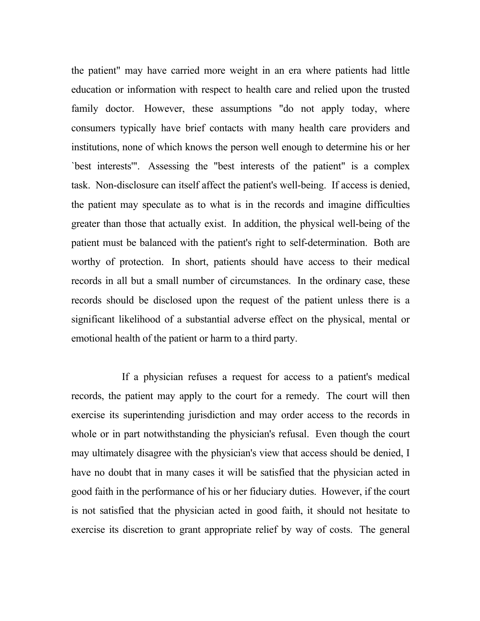the patient" may have carried more weight in an era where patients had little education or information with respect to health care and relied upon the trusted family doctor. However, these assumptions "do not apply today, where consumers typically have brief contacts with many health care providers and institutions, none of which knows the person well enough to determine his or her `best interests'". Assessing the "best interests of the patient" is a complex task. Non-disclosure can itself affect the patient's well-being. If access is denied, the patient may speculate as to what is in the records and imagine difficulties greater than those that actually exist. In addition, the physical well-being of the patient must be balanced with the patient's right to self-determination. Both are worthy of protection. In short, patients should have access to their medical records in all but a small number of circumstances. In the ordinary case, these records should be disclosed upon the request of the patient unless there is a significant likelihood of a substantial adverse effect on the physical, mental or emotional health of the patient or harm to a third party.

If a physician refuses a request for access to a patient's medical records, the patient may apply to the court for a remedy. The court will then exercise its superintending jurisdiction and may order access to the records in whole or in part notwithstanding the physician's refusal. Even though the court may ultimately disagree with the physician's view that access should be denied, I have no doubt that in many cases it will be satisfied that the physician acted in good faith in the performance of his or her fiduciary duties. However, if the court is not satisfied that the physician acted in good faith, it should not hesitate to exercise its discretion to grant appropriate relief by way of costs. The general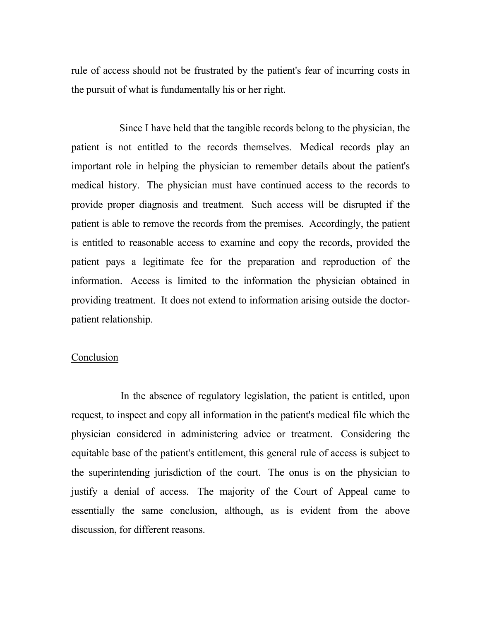rule of access should not be frustrated by the patient's fear of incurring costs in the pursuit of what is fundamentally his or her right.

Since I have held that the tangible records belong to the physician, the patient is not entitled to the records themselves. Medical records play an important role in helping the physician to remember details about the patient's medical history. The physician must have continued access to the records to provide proper diagnosis and treatment. Such access will be disrupted if the patient is able to remove the records from the premises. Accordingly, the patient is entitled to reasonable access to examine and copy the records, provided the patient pays a legitimate fee for the preparation and reproduction of the information. Access is limited to the information the physician obtained in providing treatment. It does not extend to information arising outside the doctorpatient relationship.

### **Conclusion**

In the absence of regulatory legislation, the patient is entitled, upon request, to inspect and copy all information in the patient's medical file which the physician considered in administering advice or treatment. Considering the equitable base of the patient's entitlement, this general rule of access is subject to the superintending jurisdiction of the court. The onus is on the physician to justify a denial of access. The majority of the Court of Appeal came to essentially the same conclusion, although, as is evident from the above discussion, for different reasons.